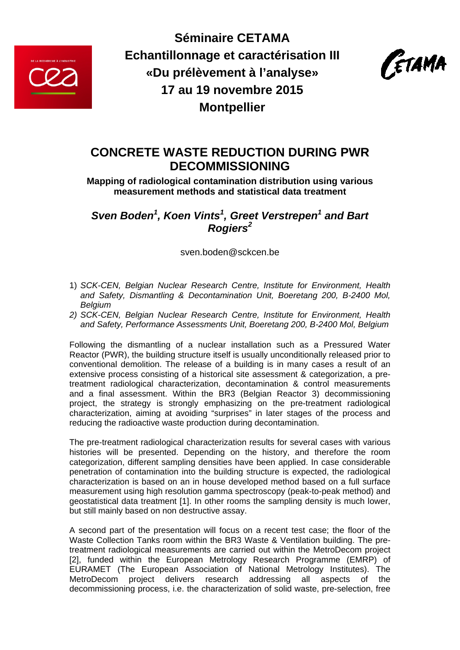

**Séminaire CETAMA Echantillonnage et caractérisation III «Du prélèvement à l'analyse» 17 au 19 novembre 2015 Montpellier**



## **CONCRETE WASTE REDUCTION DURING PWR DECOMMISSIONING**

**Mapping of radiological contamination distribution using various measurement methods and statistical data treatment** 

*Sven Boden<sup>1</sup>, Koen Vints<sup>1</sup>, Greet Verstrepen<sup>1</sup> and Bart Rogiers<sup>2</sup>*

sven.boden@sckcen.be

- 1) *SCK-CEN, Belgian Nuclear Research Centre, Institute for Environment, Health and Safety, Dismantling & Decontamination Unit, Boeretang 200, B-2400 Mol, Belgium*
- *2) SCK-CEN, Belgian Nuclear Research Centre, Institute for Environment, Health and Safety, Performance Assessments Unit, Boeretang 200, B-2400 Mol, Belgium*

Following the dismantling of a nuclear installation such as a Pressured Water Reactor (PWR), the building structure itself is usually unconditionally released prior to conventional demolition. The release of a building is in many cases a result of an extensive process consisting of a historical site assessment & categorization, a pretreatment radiological characterization, decontamination & control measurements and a final assessment. Within the BR3 (Belgian Reactor 3) decommissioning project, the strategy is strongly emphasizing on the pre-treatment radiological characterization, aiming at avoiding "surprises" in later stages of the process and reducing the radioactive waste production during decontamination.

The pre-treatment radiological characterization results for several cases with various histories will be presented. Depending on the history, and therefore the room categorization, different sampling densities have been applied. In case considerable penetration of contamination into the building structure is expected, the radiological characterization is based on an in house developed method based on a full surface measurement using high resolution gamma spectroscopy (peak-to-peak method) and geostatistical data treatment [1]. In other rooms the sampling density is much lower, but still mainly based on non destructive assay.

A second part of the presentation will focus on a recent test case; the floor of the Waste Collection Tanks room within the BR3 Waste & Ventilation building. The pretreatment radiological measurements are carried out within the MetroDecom project [2], funded within the European Metrology Research Programme (EMRP) of EURAMET (The European Association of National Metrology Institutes). The MetroDecom project delivers research addressing all aspects of the decommissioning process, i.e. the characterization of solid waste, pre-selection, free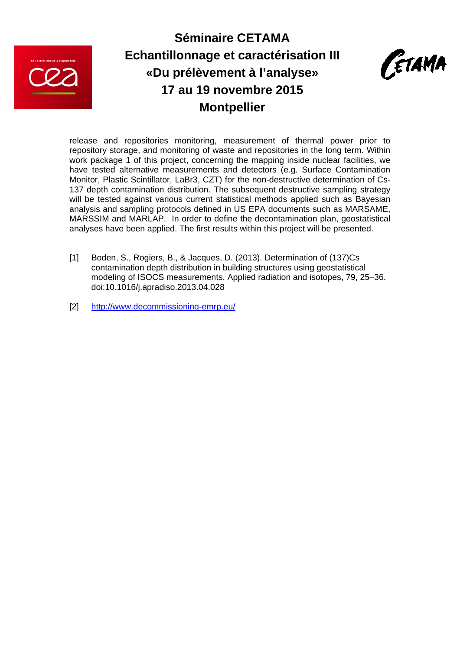

# **Séminaire CETAMA Echantillonnage et caractérisation III «Du prélèvement à l'analyse» 17 au 19 novembre 2015 Montpellier**



release and repositories monitoring, measurement of thermal power prior to repository storage, and monitoring of waste and repositories in the long term. Within work package 1 of this project, concerning the mapping inside nuclear facilities, we have tested alternative measurements and detectors (e.g. Surface Contamination Monitor, Plastic Scintillator, LaBr3, CZT) for the non-destructive determination of Cs-137 depth contamination distribution. The subsequent destructive sampling strategy will be tested against various current statistical methods applied such as Bayesian analysis and sampling protocols defined in US EPA documents such as MARSAME, MARSSIM and MARLAP. In order to define the decontamination plan, geostatistical analyses have been applied. The first results within this project will be presented.

[2] http://www.decommissioning-emrp.eu/

<sup>[1]</sup> Boden, S., Rogiers, B., & Jacques, D. (2013). Determination of (137)Cs contamination depth distribution in building structures using geostatistical modeling of ISOCS measurements. Applied radiation and isotopes, 79, 25–36. doi:10.1016/j.apradiso.2013.04.028